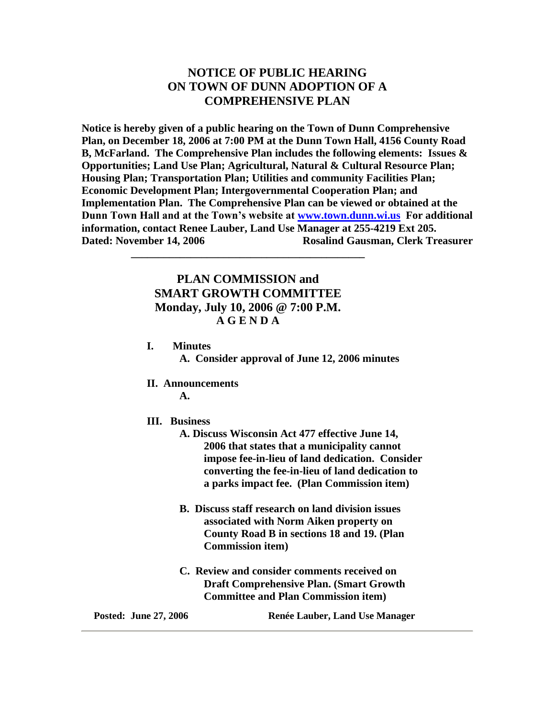# **NOTICE OF PUBLIC HEARING ON TOWN OF DUNN ADOPTION OF A COMPREHENSIVE PLAN**

**Notice is hereby given of a public hearing on the Town of Dunn Comprehensive Plan, on December 18, 2006 at 7:00 PM at the Dunn Town Hall, 4156 County Road B, McFarland. The Comprehensive Plan includes the following elements: Issues & Opportunities; Land Use Plan; Agricultural, Natural & Cultural Resource Plan; Housing Plan; Transportation Plan; Utilities and community Facilities Plan; Economic Development Plan; Intergovernmental Cooperation Plan; and Implementation Plan. The Comprehensive Plan can be viewed or obtained at the Dunn Town Hall and at the Town's website at [www.town.dunn.wi.us](http://www.town.dunn.wi.us/) For additional information, contact Renee Lauber, Land Use Manager at 255-4219 Ext 205. Dated: November 14, 2006 Rosalind Gausman, Clerk Treasurer** 

# **PLAN COMMISSION and SMART GROWTH COMMITTEE Monday, July 10, 2006 @ 7:00 P.M. A G E N D A**

**\_\_\_\_\_\_\_\_\_\_\_\_\_\_\_\_\_\_\_\_\_\_\_\_\_\_\_\_\_\_\_\_\_\_\_\_\_\_\_\_\_\_\_**

**I. Minutes**

**A. Consider approval of June 12, 2006 minutes**

**II. Announcements**

**A.** 

- **III. Business**
	- **A. Discuss Wisconsin Act 477 effective June 14, 2006 that states that a municipality cannot impose fee-in-lieu of land dedication. Consider converting the fee-in-lieu of land dedication to a parks impact fee. (Plan Commission item)**
	- **B. Discuss staff research on land division issues associated with Norm Aiken property on County Road B in sections 18 and 19. (Plan Commission item)**
	- **C. Review and consider comments received on Draft Comprehensive Plan. (Smart Growth Committee and Plan Commission item)**

**Posted: June 27, 2006 Renée Lauber, Land Use Manager**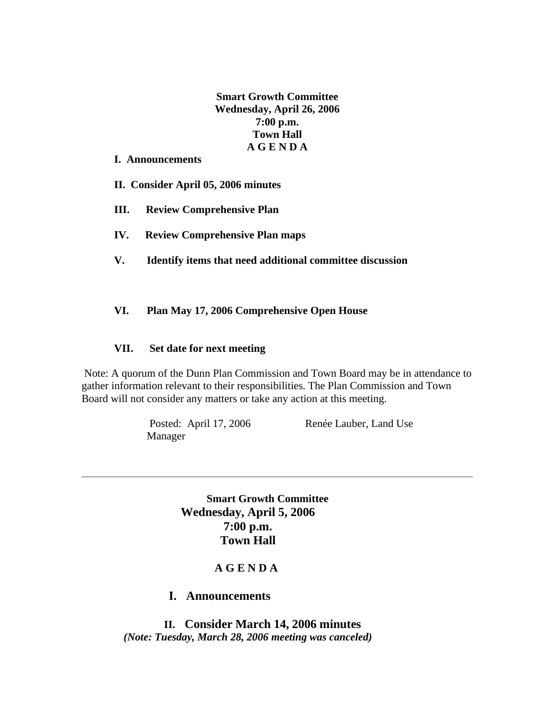**Smart Growth Committee Wednesday, April 26, 2006 7:00 p.m. Town Hall A G E N D A**

#### **I. Announcements**

**II. Consider April 05, 2006 minutes**

- **III. Review Comprehensive Plan**
- **IV. Review Comprehensive Plan maps**
- **V. Identify items that need additional committee discussion**

## **VI. Plan May 17, 2006 Comprehensive Open House**

#### **VII. Set date for next meeting**

Note: A quorum of the Dunn Plan Commission and Town Board may be in attendance to gather information relevant to their responsibilities. The Plan Commission and Town Board will not consider any matters or take any action at this meeting.

Manager

Posted: April 17, 2006 Renée Lauber, Land Use

 **Smart Growth Committee Wednesday, April 5, 2006 7:00 p.m. Town Hall**

## **A G E N D A**

## **I. Announcements**

 **II. Consider March 14, 2006 minutes** *(Note: Tuesday, March 28, 2006 meeting was canceled)*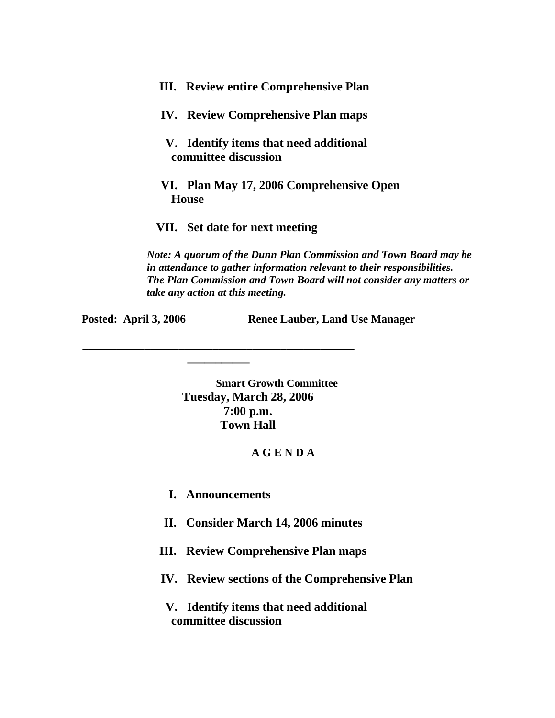- **III. Review entire Comprehensive Plan**
- **IV. Review Comprehensive Plan maps**
- **V. Identify items that need additional committee discussion**
- **VI. Plan May 17, 2006 Comprehensive Open House**
- **VII. Set date for next meeting**

*Note: A quorum of the Dunn Plan Commission and Town Board may be in attendance to gather information relevant to their responsibilities. The Plan Commission and Town Board will not consider any matters or take any action at this meeting.*

**Posted:** April 3, 2006 Renee Lauber, Land Use Manager

 **Smart Growth Committee Tuesday, March 28, 2006 7:00 p.m. Town Hall**

## **A G E N D A**

**I. Announcements**

**\_\_\_\_\_\_\_\_\_\_\_\_\_\_\_\_\_\_\_\_\_\_\_\_\_\_\_\_\_\_\_\_\_\_\_\_\_\_\_\_\_\_\_\_\_\_\_\_ \_\_\_\_\_\_\_\_\_\_\_**

**II. Consider March 14, 2006 minutes**

- **III. Review Comprehensive Plan maps**
- **IV. Review sections of the Comprehensive Plan**

 **V. Identify items that need additional committee discussion**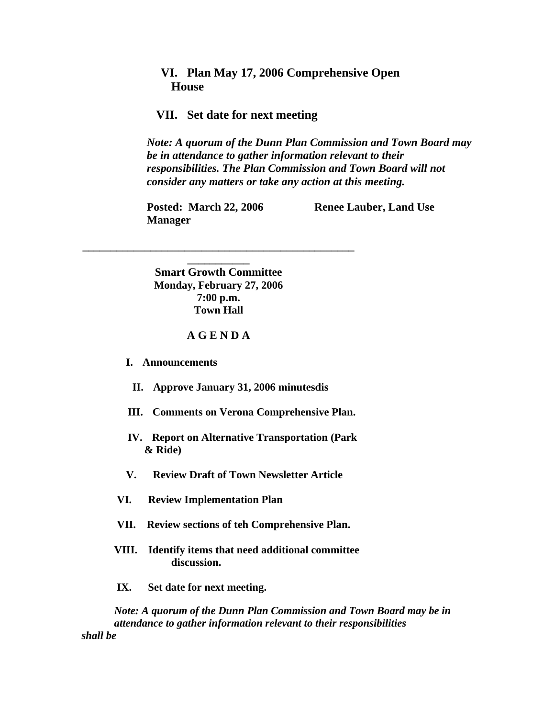## **VI. Plan May 17, 2006 Comprehensive Open House**

#### **VII. Set date for next meeting**

*Note: A quorum of the Dunn Plan Commission and Town Board may be in attendance to gather information relevant to their responsibilities. The Plan Commission and Town Board will not consider any matters or take any action at this meeting.*

**Manager** 

**Posted: March 22, 2006 Renee Lauber, Land Use** 

**Smart Growth Committee Monday, February 27, 2006 7:00 p.m. Town Hall**

**\_\_\_\_\_\_\_\_\_\_\_\_\_\_\_\_\_\_\_\_\_\_\_\_\_\_\_\_\_\_\_\_\_\_\_\_\_\_\_\_\_\_\_\_\_\_\_\_ \_\_\_\_\_\_\_\_\_\_\_**

#### **A G E N D A**

 **I. Announcements**

- **II. Approve January 31, 2006 minutesdis**
- **III. Comments on Verona Comprehensive Plan.**
- **IV. Report on Alternative Transportation (Park & Ride)**
- **V. Review Draft of Town Newsletter Article**
- **VI. Review Implementation Plan**
- **VII. Review sections of teh Comprehensive Plan.**
- **VIII. Identify items that need additional committee discussion.**
- **IX. Set date for next meeting.**

 *Note: A quorum of the Dunn Plan Commission and Town Board may be in attendance to gather information relevant to their responsibilities shall be*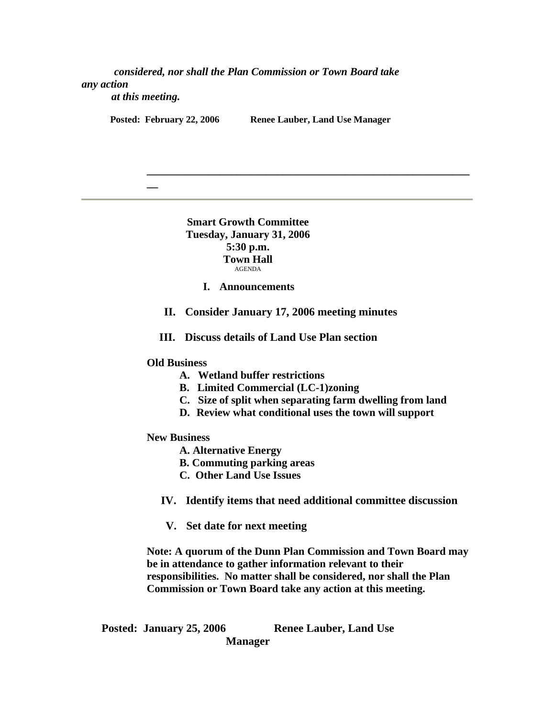*considered, nor shall the Plan Commission or Town Board take any action* 

 *at this meeting.*

**\_\_**

Posted: February 22, 2006 Renee Lauber, Land Use Manager

**\_\_\_\_\_\_\_\_\_\_\_\_\_\_\_\_\_\_\_\_\_\_\_\_\_\_\_\_\_\_\_\_\_\_\_\_\_\_\_\_\_\_\_\_\_\_\_\_\_\_\_\_\_\_\_\_\_**

**Smart Growth Committee Tuesday, January 31, 2006 5:30 p.m. Town Hall** AGENDA

**I. Announcements**

**II. Consider January 17, 2006 meeting minutes**

**III. Discuss details of Land Use Plan section**

**Old Business**

- **A. Wetland buffer restrictions**
- **B. Limited Commercial (LC-1)zoning**
- **C. Size of split when separating farm dwelling from land**
- **D. Review what conditional uses the town will support**
- **New Business**
	- **A. Alternative Energy**
	- **B. Commuting parking areas**
	- **C. Other Land Use Issues**

**IV. Identify items that need additional committee discussion**

**V. Set date for next meeting**

**Note: A quorum of the Dunn Plan Commission and Town Board may be in attendance to gather information relevant to their responsibilities. No matter shall be considered, nor shall the Plan Commission or Town Board take any action at this meeting.**

Posted: January 25, 2006 Renee Lauber, Land Use **Manager**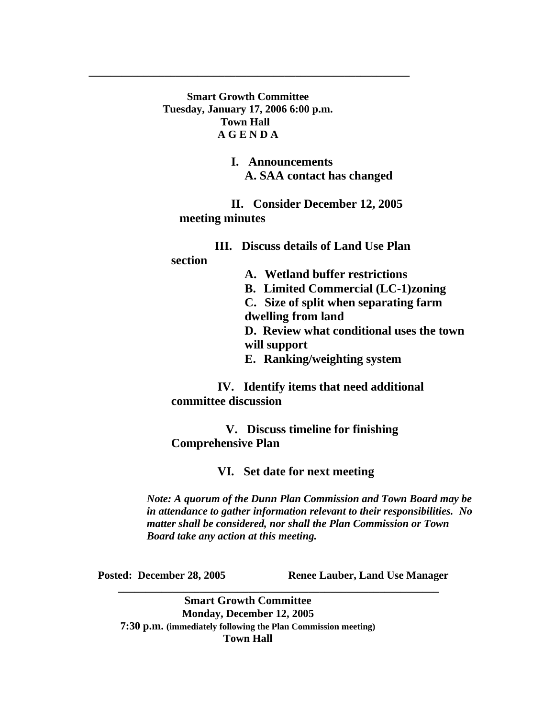**Smart Growth Committee Tuesday, January 17, 2006 6:00 p.m. Town Hall A G E N D A**

**\_\_\_\_\_\_\_\_\_\_\_\_\_\_\_\_\_\_\_\_\_\_\_\_\_\_\_\_\_\_\_\_\_\_\_\_\_\_\_\_\_\_\_\_\_\_\_\_\_\_\_\_\_\_\_\_\_\_\_**

 **I. Announcements A. SAA contact has changed**

 **II. Consider December 12, 2005 meeting minutes**

 **III. Discuss details of Land Use Plan section A. Wetland buffer restrictions B. Limited Commercial (LC-1)zoning C. Size of split when separating farm dwelling from land D. Review what conditional uses the town will support**

**E. Ranking/weighting system**

 **IV. Identify items that need additional committee discussion**

 **V. Discuss timeline for finishing Comprehensive Plan**

 **VI. Set date for next meeting**

*Note: A quorum of the Dunn Plan Commission and Town Board may be in attendance to gather information relevant to their responsibilities. No matter shall be considered, nor shall the Plan Commission or Town Board take any action at this meeting.*

**Posted: December 28, 2005 Renee Lauber, Land Use Manager** 

**Smart Growth Committee Monday, December 12, 2005 7:30 p.m. (immediately following the Plan Commission meeting) Town Hall**

**\_\_\_\_\_\_\_\_\_\_\_\_\_\_\_\_\_\_\_\_\_\_\_\_\_\_\_\_\_\_\_\_\_\_\_\_\_\_\_\_\_\_\_\_\_\_\_\_\_\_\_\_\_\_\_\_\_\_\_**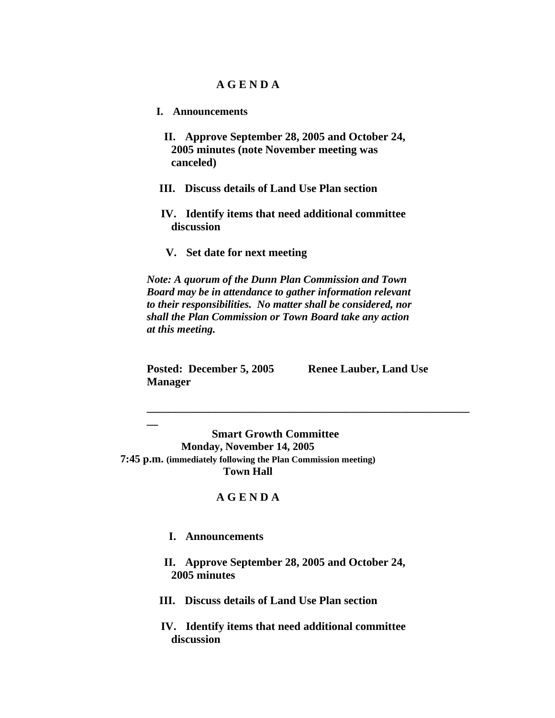### **A G E N D A**

- **I. Announcements**
	- **II. Approve September 28, 2005 and October 24, 2005 minutes (note November meeting was canceled)**
- **III. Discuss details of Land Use Plan section**
- **IV. Identify items that need additional committee discussion**
- **V. Set date for next meeting**

*Note: A quorum of the Dunn Plan Commission and Town Board may be in attendance to gather information relevant to their responsibilities. No matter shall be considered, nor shall the Plan Commission or Town Board take any action at this meeting.*

**\_\_\_\_\_\_\_\_\_\_\_\_\_\_\_\_\_\_\_\_\_\_\_\_\_\_\_\_\_\_\_\_\_\_\_\_\_\_\_\_\_\_\_\_\_\_\_\_\_\_\_\_\_\_\_\_\_**

**Posted: December 5, 2005 Renee Lauber, Land Use Manager** 

**\_\_**

 **Smart Growth Committee Monday, November 14, 2005 7:45 p.m. (immediately following the Plan Commission meeting) Town Hall**

## **A G E N D A**

 **I. Announcements**

 **II. Approve September 28, 2005 and October 24, 2005 minutes**

- **III. Discuss details of Land Use Plan section**
- **IV. Identify items that need additional committee discussion**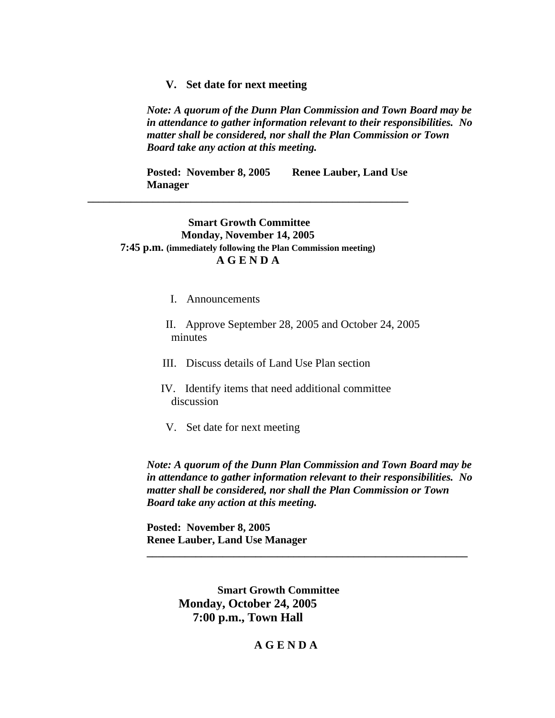#### **V. Set date for next meeting**

*Note: A quorum of the Dunn Plan Commission and Town Board may be in attendance to gather information relevant to their responsibilities. No matter shall be considered, nor shall the Plan Commission or Town Board take any action at this meeting.*

**Posted: November 8, 2005 Renee Lauber, Land Use Manager** 

### **Smart Growth Committee Monday, November 14, 2005 7:45 p.m. (immediately following the Plan Commission meeting) A G E N D A**

**\_\_\_\_\_\_\_\_\_\_\_\_\_\_\_\_\_\_\_\_\_\_\_\_\_\_\_\_\_\_\_\_\_\_\_\_\_\_\_\_\_\_\_\_\_\_\_\_\_\_\_\_\_\_\_\_\_\_\_**

- I. Announcements
- II. Approve September 28, 2005 and October 24, 2005 minutes
- III. Discuss details of Land Use Plan section
- IV. Identify items that need additional committee discussion
- V. Set date for next meeting

*Note: A quorum of the Dunn Plan Commission and Town Board may be in attendance to gather information relevant to their responsibilities. No matter shall be considered, nor shall the Plan Commission or Town Board take any action at this meeting.*

**\_\_\_\_\_\_\_\_\_\_\_\_\_\_\_\_\_\_\_\_\_\_\_\_\_\_\_\_\_\_\_\_\_\_\_\_\_\_\_\_\_\_\_\_\_\_\_\_\_\_\_\_\_\_\_\_\_\_\_**

**Posted: November 8, 2005 Renee Lauber, Land Use Manager** 

> **Smart Growth Committee Monday, October 24, 2005 7:00 p.m., Town Hall**

## **A G E N D A**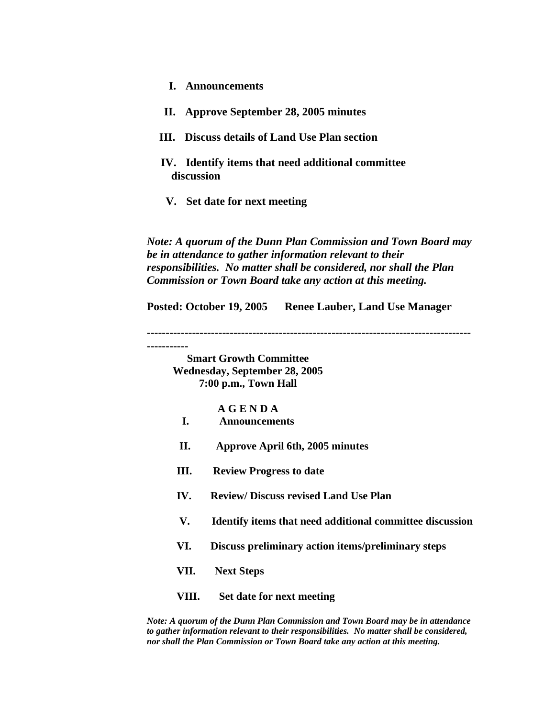- **I. Announcements**
- **II. Approve September 28, 2005 minutes**
- **III. Discuss details of Land Use Plan section**
- **IV. Identify items that need additional committee discussion**
- **V. Set date for next meeting**

*Note: A quorum of the Dunn Plan Commission and Town Board may be in attendance to gather information relevant to their responsibilities. No matter shall be considered, nor shall the Plan Commission or Town Board take any action at this meeting.*

**Posted: October 19, 2005 Renee Lauber, Land Use Manager**

**--------------------------------------------------------------------------------------**

**-----------**

**Smart Growth Committee Wednesday, September 28, 2005 7:00 p.m., Town Hall**

#### **A G E N D A**

- **I. Announcements**
- **II. Approve April 6th, 2005 minutes**
- **III. Review Progress to date**
- **IV. Review/ Discuss revised Land Use Plan**
- **V. Identify items that need additional committee discussion**
- **VI. Discuss preliminary action items/preliminary steps**
- **VII. Next Steps**
- **VIII. Set date for next meeting**

*Note: A quorum of the Dunn Plan Commission and Town Board may be in attendance to gather information relevant to their responsibilities. No matter shall be considered, nor shall the Plan Commission or Town Board take any action at this meeting.*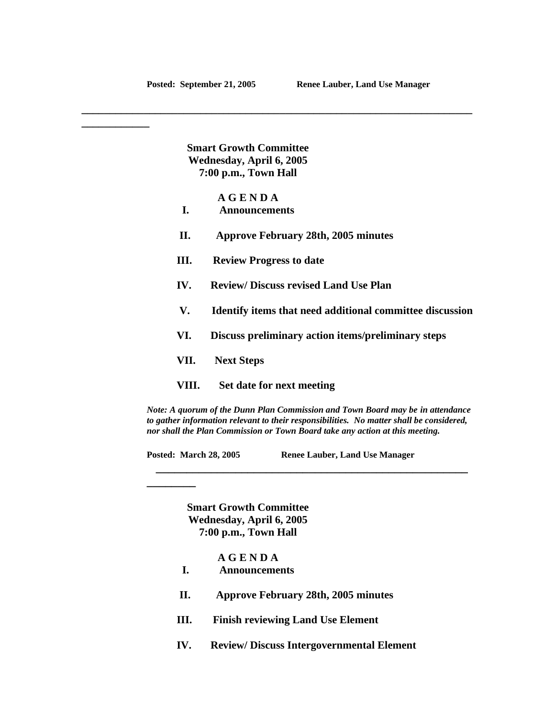**\_\_\_\_\_\_\_\_\_\_\_\_**

**Smart Growth Committee Wednesday, April 6, 2005 7:00 p.m., Town Hall**

**A G E N D A**

- **I. Announcements**
- **II. Approve February 28th, 2005 minutes**

**\_\_\_\_\_\_\_\_\_\_\_\_\_\_\_\_\_\_\_\_\_\_\_\_\_\_\_\_\_\_\_\_\_\_\_\_\_\_\_\_\_\_\_\_\_\_\_\_\_\_\_\_\_\_\_\_\_\_\_\_\_\_\_\_\_\_\_\_\_**

- **III. Review Progress to date**
- **IV. Review/ Discuss revised Land Use Plan**
- **V. Identify items that need additional committee discussion**
- **VI. Discuss preliminary action items/preliminary steps**
- **VII. Next Steps**

**\_\_\_\_\_\_\_\_** 

 **VIII. Set date for next meeting** 

*Note: A quorum of the Dunn Plan Commission and Town Board may be in attendance to gather information relevant to their responsibilities. No matter shall be considered, nor shall the Plan Commission or Town Board take any action at this meeting.*

 **\_\_\_\_\_\_\_\_\_\_\_\_\_\_\_\_\_\_\_\_\_\_\_\_\_\_\_\_\_\_\_\_\_\_\_\_\_\_\_\_\_\_\_\_\_\_\_\_\_\_\_**

**Posted: March 28, 2005 Renee Lauber, Land Use Manager**

**Smart Growth Committee Wednesday, April 6, 2005 7:00 p.m., Town Hall**

**A G E N D A**

- **I. Announcements**
- **II. Approve February 28th, 2005 minutes**
- **III. Finish reviewing Land Use Element**
- **IV. Review/ Discuss Intergovernmental Element**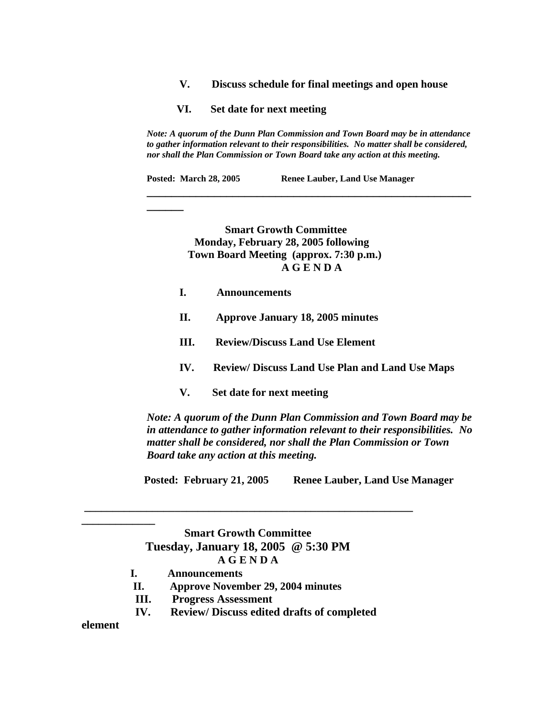- **V. Discuss schedule for final meetings and open house**
- **VI. Set date for next meeting**

*Note: A quorum of the Dunn Plan Commission and Town Board may be in attendance to gather information relevant to their responsibilities. No matter shall be considered, nor shall the Plan Commission or Town Board take any action at this meeting.*

**\_\_\_\_\_\_\_\_\_\_\_\_\_\_\_\_\_\_\_\_\_\_\_\_\_\_\_\_\_\_\_\_\_\_\_\_\_\_\_\_\_\_\_\_\_\_\_\_\_\_\_\_\_**

Posted: March 28, 2005 Renee Lauber, Land Use Manager

 **Smart Growth Committee Monday, February 28, 2005 following Town Board Meeting (approx. 7:30 p.m.) A G E N D A**

**I. Announcements**

**\_\_\_\_\_\_** 

- **II. Approve January 18, 2005 minutes**
- **III. Review/Discuss Land Use Element**
- **IV. Review/ Discuss Land Use Plan and Land Use Maps**
- **V. Set date for next meeting**

*Note: A quorum of the Dunn Plan Commission and Town Board may be in attendance to gather information relevant to their responsibilities. No matter shall be considered, nor shall the Plan Commission or Town Board take any action at this meeting.*

 **Posted: February 21, 2005 Renee Lauber, Land Use Manager** 

**Smart Growth Committee Tuesday, January 18, 2005 @ 5:30 PM A G E N D A**

**\_\_\_\_\_\_\_\_\_\_\_\_\_\_\_\_\_\_\_\_\_\_\_\_\_\_\_\_\_\_\_\_\_\_\_\_\_\_\_\_\_\_\_\_\_\_\_\_\_\_\_\_\_\_\_\_\_\_**

- **I. Announcements**
- **II. Approve November 29, 2004 minutes**
- **III. Progress Assessment**
- **IV. Review/ Discuss edited drafts of completed**

**element** 

**\_\_\_\_\_\_\_\_\_\_\_\_\_**